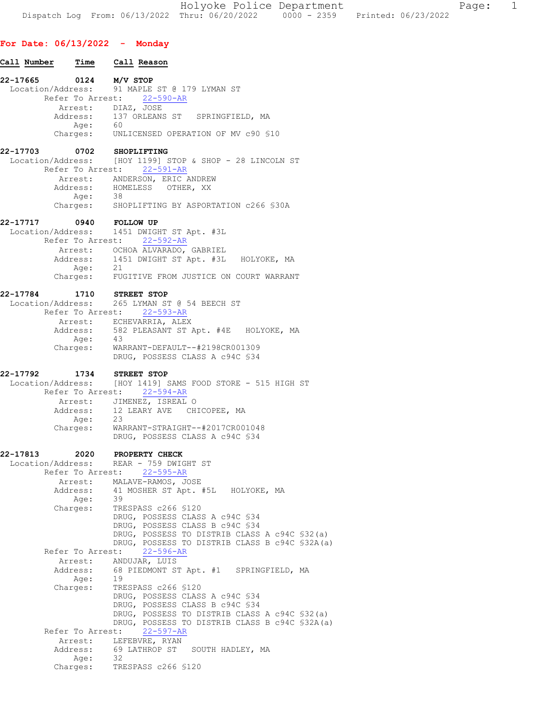Holyoke Police Department Page: 1 Dispatch Log From: 06/13/2022 Thru: 06/20/2022 0000 - 2359 Printed: 06/23/2022

## For Date: 06/13/2022 - Monday

Call Number Time Call Reason 22-17665 0124 M/V STOP<br>Location/Address: 91 MAPLE Location/Address: 91 MAPLE ST @ 179 LYMAN ST Refer To Arrest: 22-590-AR Arrest: DIAZ, JOSE Address: 137 ORLEANS ST SPRINGFIELD, MA Age:<br>:Charges UNLICENSED OPERATION OF MV c90 §10 22-17703 0702 SHOPLIFTING Location/Address: [HOY 1199] STOP & SHOP - 28 LINCOLN ST Refer To Arrest: 22-591-AR Arrest: ANDERSON, ERIC ANDREW<br>Address: HOMELESS OTHER, XX HOMELESS OTHER, XX<br>38 Age: Charges: SHOPLIFTING BY ASPORTATION c266 §30A 22-17717 0940 FOLLOW UP Location/Address: 1451 DWIGHT ST Apt. #3L Refer To Arrest: 22-592-AR Arrest: OCHOA ALVARADO, GABRIEL Address: 1451 DWIGHT ST Apt. #3L HOLYOKE, MA<br>Age: 21 Age: Charges: FUGITIVE FROM JUSTICE ON COURT WARRANT 22-17784 1710 STREET STOP Location/Address: 265 LYMAN ST @ 54 BEECH ST Refer To Arrest: 22-593-AR Arrest: ECHEVARRIA, ALEX Address: 582 PLEASANT ST Apt. #4E HOLYOKE, MA Age: Charges: WARRANT-DEFAULT--#2198CR001309 DRUG, POSSESS CLASS A c94C §34 22-17792 1734 STREET STOP Location/Address: [HOY 1419] SAMS FOOD STORE - 515 HIGH ST Refer To Arrest: 22-594-AR Arrest: JIMENEZ, ISREAL O<br>Address: 12 LEARY AVE CHICOPEE, MA Address: 12 LEARY AVE<br>Age: 23 Age: Charges: WARRANT-STRAIGHT--#2017CR001048 DRUG, POSSESS CLASS A c94C §34 22-17813 2020 PROPERTY CHECK Location/Address: REAR - 759 DWIGHT ST Refer To Arrest: 22-595-AR Arrest: MALAVE-RAMOS, JOSE Address: 41 MOSHER ST Apt. #5L HOLYOKE, MA<br>Age: 39 Age: Charges: TRESPASS c266 §120 DRUG, POSSESS CLASS A c94C §34 DRUG, POSSESS CLASS B c94C §34 DRUG, POSSESS TO DISTRIB CLASS A c94C §32(a) DRUG, POSSESS TO DISTRIB CLASS B c94C §32A(a) Refer To Arrest: 22-596-AR Arrest: ANDUJAR, LUIS Address: 68 PIEDMONT ST Apt. #1 SPRINGFIELD, MA Age: 19 Charges: TRESPASS c266 §120 DRUG, POSSESS CLASS A c94C §34 DRUG, POSSESS CLASS B c94C §34 DRUG, POSSESS TO DISTRIB CLASS A c94C §32(a) DRUG, POSSESS TO DISTRIB CLASS B c94C §32A(a) Refer To Arrest: 22-597-AR Arrest: LEFEBVRE, RYAN<br>Address: 69 LATHROP ST 69 LATHROP ST SOUTH HADLEY, MA Age: 32<br>Charges: TR TRESPASS c266 §120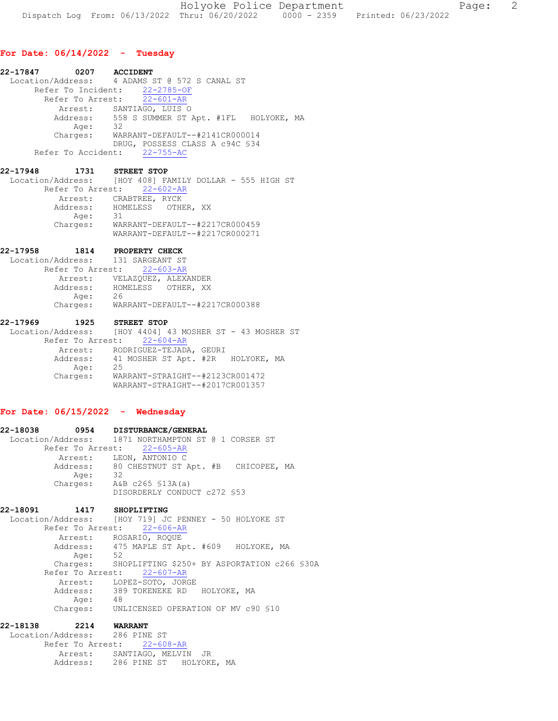## For Date: 06/14/2022 - Tuesday

| 22-17847 0207 ACCIDENT       |                                                |
|------------------------------|------------------------------------------------|
|                              | Location/Address: 4 ADAMS ST @ 572 S CANAL ST  |
|                              | Refer To Incident: 22-2785-OF                  |
|                              | Refer To Arrest: 22-601-AR                     |
|                              | Arrest: SANTIAGO, LUIS O                       |
|                              | Address: 558 S SUMMER ST Apt. #1FL HOLYOKE, MA |
| Age:                         | 32                                             |
| Charges:                     | WARRANT-DEFAULT--#2141CR000014                 |
|                              | DRUG, POSSESS CLASS A c94C \$34                |
| Refer To Accident: 22-755-AC |                                                |

22-17948 1731 STREET STOP Location/Address: [HOY 408] FAMILY DOLLAR - 555 HIGH ST Refer To Arrest: 22-602-AR Arrest: CRABTREE, RYCK<br>Address: HOMELESS OTHE HOMELESS OTHER, XX<br>31 Age: Charges: WARRANT-DEFAULT--#2217CR000459 WARRANT-DEFAULT--#2217CR000271

22-17958 1814 PROPERTY CHECK

 Location/Address: 131 SARGEANT ST Refer To Arrest: 22-603-AR Arrest: VELAZQUEZ, ALEXANDER Address: HOMELESS OTHER, XX Age: 26 Charges: WARRANT-DEFAULT--#2217CR000388

22-17969 1925 STREET STOP Location/Address: [HOY 4404] 43 MOSHER ST - 43 MOSHER ST Refer To Arrest: 22-604-AR Arrest: RODRIGUEZ-TEJADA, GEURI<br>Address: 41 MOSHER ST Apt. #2R HOLYOKE, MA 41 MOSHER ST Apt. #2R<br>25 Age: Charges: WARRANT-STRAIGHT--#2123CR001472 WARRANT-STRAIGHT--#2017CR001357

# For Date: 06/15/2022 - Wednesday

```
22-18038 0954 DISTURBANCE/GENERAL 
 Location/Address: 1871 NORTHAMPTON ST @ 1 CORSER ST
      Refer To Arrest: 22-605-AR
        Arrest: LEON, ANTONIO C<br>Address: 80 CHESTNUT ST.
                   80 CHESTNUT ST Apt. #B CHICOPEE, MA
Age: 32
Charges: A&B c265 §13A(a)
                    DISORDERLY CONDUCT c272 §53
```
22-18091 1417 SHOPLIFTING<br>Location/Address: [HOY 719] JC [HOY 719] JC PENNEY - 50 HOLYOKE ST Refer To Arrest: 22-606-AR Arrest: ROSARIO, ROQUE Address: 475 MAPLE ST Apt. #609 HOLYOKE, MA<br>Age: 52 Age: Charges: SHOPLIFTING \$250+ BY ASPORTATION c266 §30A Refer To Arrest: 22-607-AR Arrest: LOPEZ-SOTO, JORGE<br>Address: 389 TOKENEKE RD 389 TOKENEKE RD - HOLYOKE, MA<br>48 Age:<br>:Charges UNLICENSED OPERATION OF MV c90 §10

22-18138 2214 WARRANT Location/Address: 286 PINE ST Refer To Arrest: 22-608-AR Arrest: SANTIAGO, MELVIN JR Address: 286 PINE ST HOLYOKE, MA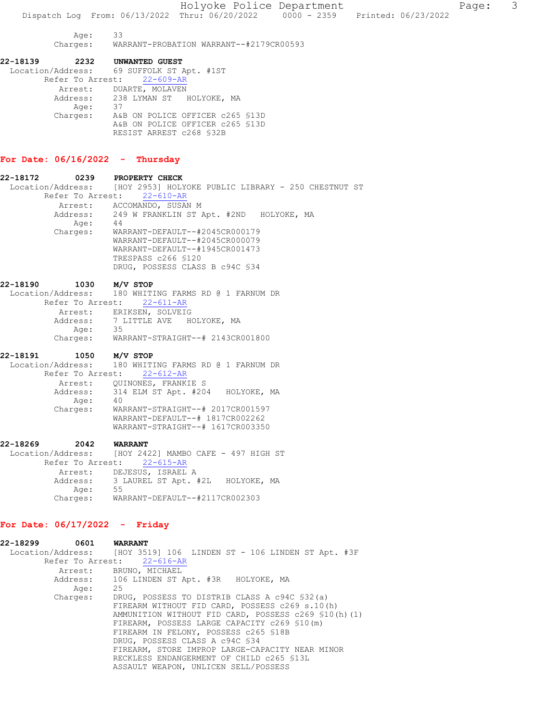Age: 33 Charges: WARRANT-PROBATION WARRANT--#2179CR00593

22-18139 2232 UNWANTED GUEST Location/Address: 69 SUFFOLK ST Apt. #1ST Refer To Arrest: 22-609-AR Arrest: DUARTE, MOLAVEN Address: 238 LYMAN ST HOLYOKE, MA Age: 37 Charges: A&B ON POLICE OFFICER c265 §13D A&B ON POLICE OFFICER c265 §13D RESIST ARREST c268 §32B

## For Date: 06/16/2022 - Thursday

| 22-18172 | 0239     | PROPERTY CHECK                                                        |
|----------|----------|-----------------------------------------------------------------------|
|          |          | Location/Address: [HOY 2953] HOLYOKE PUBLIC LIBRARY - 250 CHESTNUT ST |
|          |          | Refer To Arrest: 22-610-AR                                            |
|          |          | Arrest: ACCOMANDO, SUSAN M                                            |
|          |          | Address: 249 W FRANKLIN ST Apt. #2ND HOLYOKE, MA                      |
|          | Age:     | 44                                                                    |
|          | Charges: | WARRANT-DEFAULT--#2045CR000179                                        |
|          |          | WARRANT-DEFAULT--#2045CR000079                                        |
|          |          | WARRANT-DEFAULT--#1945CR001473                                        |
|          |          | TRESPASS c266 §120                                                    |
|          |          | DRUG, POSSESS CLASS B c94C \$34                                       |
|          |          |                                                                       |

| 22-18190 | 1030                                                 |    | M/V STOP |  |  |                                  |  |
|----------|------------------------------------------------------|----|----------|--|--|----------------------------------|--|
|          | Location/Address: 180 WHITING FARMS RD @ 1 FARNUM DR |    |          |  |  |                                  |  |
|          | Refer To Arrest: 22-611-AR                           |    |          |  |  |                                  |  |
|          | Arrest: ERIKSEN, SOLVEIG                             |    |          |  |  |                                  |  |
|          | Address: 7 LITTLE AVE HOLYOKE, MA                    |    |          |  |  |                                  |  |
|          | Age:                                                 | 35 |          |  |  |                                  |  |
|          | Charges:                                             |    |          |  |  | WARRANT-STRAIGHT--# 2143CR001800 |  |

#### 22-18191 1050 M/V STOP

 Location/Address: 180 WHITING FARMS RD @ 1 FARNUM DR Refer To Arrest: 22-612-AR Arrest: QUINONES, FRANKIE S Address: 314 ELM ST Apt. #204 HOLYOKE, MA Age: 40 Charges: WARRANT-STRAIGHT--# 2017CR001597 WARRANT-DEFAULT--# 1817CR002262 WARRANT-STRAIGHT--# 1617CR003350

22-18269 2042 WARRANT Location/Address: [HOY 2422] MAMBO CAFE - 497 HIGH ST Refer To Arrest: 22-615-AR Arrest: DEJESUS, ISRAEL A Address: 3 LAUREL ST Apt. #2L HOLYOKE, MA Age: 55 Charges: WARRANT-DEFAULT--#2117CR002303

# For Date: 06/17/2022 - Friday

| 22-18299 | 0601     | <b>WARRANT</b>                                                      |
|----------|----------|---------------------------------------------------------------------|
|          |          | Location/Address: [HOY 3519] 106 LINDEN ST - 106 LINDEN ST Apt. #3F |
|          |          | Refer To Arrest: 22-616-AR                                          |
|          |          | Arrest: BRUNO, MICHAEL                                              |
|          |          | Address: 106 LINDEN ST Apt. #3R HOLYOKE, MA                         |
|          | Age:     | 25                                                                  |
|          | Charges: | DRUG, POSSESS TO DISTRIB CLASS A c94C \$32(a)                       |
|          |          | FIREARM WITHOUT FID CARD, POSSESS c269 s.10(h)                      |
|          |          | AMMUNITION WITHOUT FID CARD, POSSESS c269 \$10(h)(1)                |
|          |          | FIREARM, POSSESS LARGE CAPACITY c269 \$10(m)                        |
|          |          | FIREARM IN FELONY, POSSESS c265 \$18B                               |
|          |          | DRUG, POSSESS CLASS A c94C \$34                                     |
|          |          | FIREARM, STORE IMPROP LARGE-CAPACITY NEAR MINOR                     |
|          |          | RECKLESS ENDANGERMENT OF CHILD c265 \$13L                           |
|          |          | ASSAULT WEAPON, UNLICEN SELL/POSSESS                                |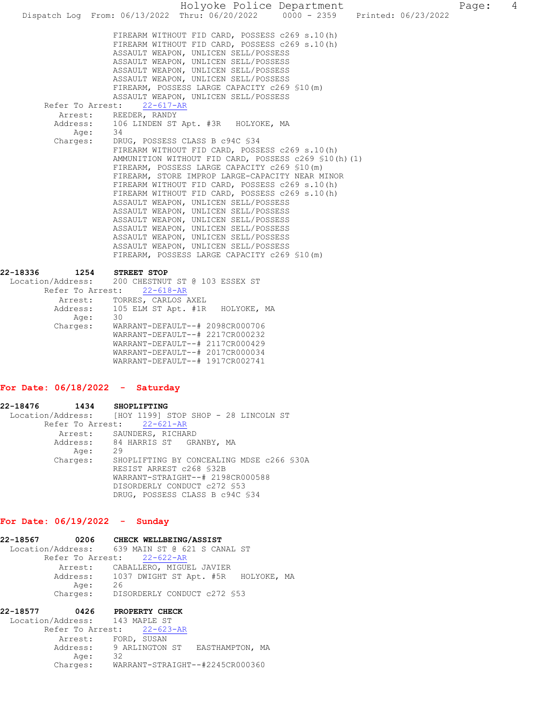Holyoke Police Department Page: 4 Dispatch Log From: 06/13/2022 Thru: 06/20/2022 0000 - 2359 FIREARM WITHOUT FID CARD, POSSESS c269 s.10(h) FIREARM WITHOUT FID CARD, POSSESS c269 s.10(h) ASSAULT WEAPON, UNLICEN SELL/POSSESS ASSAULT WEAPON, UNLICEN SELL/POSSESS ASSAULT WEAPON, UNLICEN SELL/POSSESS ASSAULT WEAPON, UNLICEN SELL/POSSESS FIREARM, POSSESS LARGE CAPACITY c269 §10(m) ASSAULT WEAPON, UNLICEN SELL/POSSESS<br>st: 22-617-AR Refer To Arrest: Arrest: REEDER, RANDY Address: 106 LINDEN ST Apt. #3R HOLYOKE, MA Age: 34 Charges: DRUG, POSSESS CLASS B c94C §34 FIREARM WITHOUT FID CARD, POSSESS c269 s.10(h) AMMUNITION WITHOUT FID CARD, POSSESS c269 §10(h)(1) FIREARM, POSSESS LARGE CAPACITY c269 §10(m) FIREARM, STORE IMPROP LARGE-CAPACITY NEAR MINOR FIREARM WITHOUT FID CARD, POSSESS c269 s.10(h) FIREARM WITHOUT FID CARD, POSSESS c269 s.10(h) ASSAULT WEAPON, UNLICEN SELL/POSSESS ASSAULT WEAPON, UNLICEN SELL/POSSESS ASSAULT WEAPON, UNLICEN SELL/POSSESS ASSAULT WEAPON, UNLICEN SELL/POSSESS ASSAULT WEAPON, UNLICEN SELL/POSSESS ASSAULT WEAPON, UNLICEN SELL/POSSESS FIREARM, POSSESS LARGE CAPACITY c269 §10(m) 22-18336 1254 STREET STOP

Location/Address: 200 CHESTNUT ST @ 103 ESSEX ST

|          | Refer To Arrest: 22-618-AR         |
|----------|------------------------------------|
| Arrest:  | TORRES, CARLOS AXEL                |
| Address: | 105 ELM ST Apt. #1R<br>HOLYOKE, MA |
| Age:     | 30                                 |
| Charges: | WARRANT-DEFAULT--# 2098CR000706    |
|          | WARRANT-DEFAULT--# 2217CR000232    |
|          | WARRANT-DEFAULT--# 2117CR000429    |
|          | WARRANT-DEFAULT--# 2017CR000034    |
|          | WARRANT-DEFAULT--# 1917CR002741    |
|          |                                    |

### For Date: 06/18/2022 - Saturday

22-18476 1434 SHOPLIFTING Location/Address: [HOY 1199] STOP SHOP - 28 LINCOLN ST Refer To Arrest: 22-621-AR Arrest: SAUNDERS, RICHARD<br>Address: 84 HARRIS ST GR. 84 HARRIS ST GRANBY, MA Age: 29 Charges: SHOPLIFTING BY CONCEALING MDSE c266 §30A RESIST ARREST c268 §32B WARRANT-STRAIGHT--# 2198CR000588 DISORDERLY CONDUCT c272 §53 DRUG, POSSESS CLASS B c94C §34

### For Date: 06/19/2022 - Sunday

| 22-18567<br>0206 | CHECK WELLBEING/ASSIST                         |
|------------------|------------------------------------------------|
|                  | Location/Address: 639 MAIN ST @ 621 S CANAL ST |
|                  | Refer To Arrest: 22-622-AR                     |
|                  | Arrest: CABALLERO, MIGUEL JAVIER               |
|                  | Address: 1037 DWIGHT ST Apt. #5R HOLYOKE, MA   |
| Age:             | 26                                             |
|                  | Charges: DISORDERLY CONDUCT c272 \$53          |

| 22-18577                       | 0426                       |    | PROPERTY CHECK |                                         |  |
|--------------------------------|----------------------------|----|----------------|-----------------------------------------|--|
| Location/Address: 143 MAPLE ST |                            |    |                |                                         |  |
|                                | Refer To Arrest: 22-623-AR |    |                |                                         |  |
|                                | Arrest: FORD, SUSAN        |    |                |                                         |  |
|                                |                            |    |                | Address: 9 ARLINGTON ST EASTHAMPTON, MA |  |
|                                | Age:                       | 32 |                |                                         |  |
|                                | Charges:                   |    |                | WARRANT-STRAIGHT--#2245CR000360         |  |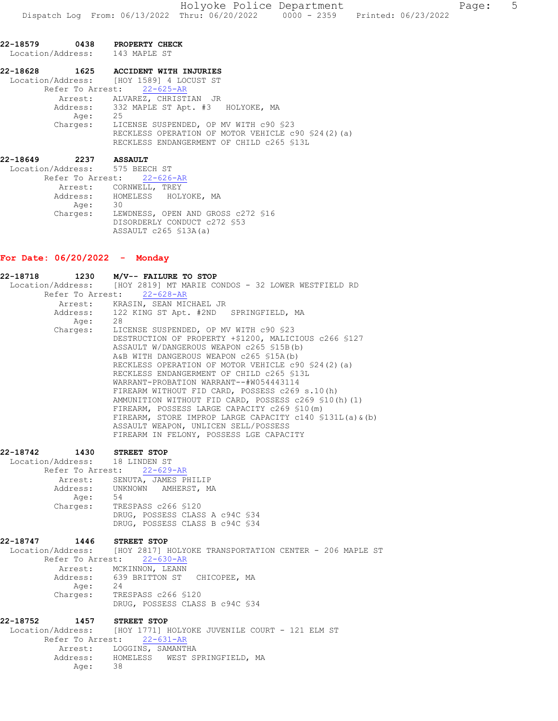|               |         | 22-18579 0438 PROPERTY CHECK<br>Location/Address: 143 MAPLE ST |
|---------------|---------|----------------------------------------------------------------|
|               |         | 22-18628  1625 ACCIDENT WITH INJURIES                          |
|               |         | Location/Address: [HOY 1589] 4 LOCUST ST                       |
|               |         | Refer To Arrest: 22-625-AR                                     |
|               |         | Arrest: ALVAREZ, CHRISTIAN JR                                  |
|               |         | Address: 332 MAPLE ST Apt. #3 HOLYOKE, MA                      |
|               | Age: 25 |                                                                |
|               |         | Charges: LICENSE SUSPENDED, OP MV WITH c90 \$23                |
|               |         | RECKLESS OPERATION OF MOTOR VEHICLE c90 \$24(2)(a)             |
|               |         | RECKLESS ENDANGERMENT OF CHILD c265 \$13L                      |
| 22–18649 2237 |         | <b>ASSAULT</b>                                                 |
|               |         | Location/Address: 575 BEECH ST                                 |

Refer To Arrest: 22-626-AR Arrest: CORNWELL, TREY Address: HOMELESS HOLYOKE, MA Age: 30<br>Charges: LEW Charges: LEWDNESS, OPEN AND GROSS c272 §16 DISORDERLY CONDUCT c272 \$53 ASSAULT c265 §13A(a)

# For Date: 06/20/2022 - Monday

| 22-18718 1230     |                         | M/V-- FAILURE TO STOP                                                                                                                                                                                                                                                                                                                                                                                                                                                                                                                                      |
|-------------------|-------------------------|------------------------------------------------------------------------------------------------------------------------------------------------------------------------------------------------------------------------------------------------------------------------------------------------------------------------------------------------------------------------------------------------------------------------------------------------------------------------------------------------------------------------------------------------------------|
|                   |                         | Location/Address: [HOY 2819] MT MARIE CONDOS - 32 LOWER WESTFIELD RD                                                                                                                                                                                                                                                                                                                                                                                                                                                                                       |
|                   |                         | Refer To Arrest: 22-628-AR                                                                                                                                                                                                                                                                                                                                                                                                                                                                                                                                 |
|                   |                         | Arrest: KRASIN, SEAN MICHAEL JR                                                                                                                                                                                                                                                                                                                                                                                                                                                                                                                            |
|                   | Address:                | 122 KING ST Apt. #2ND SPRINGFIELD, MA                                                                                                                                                                                                                                                                                                                                                                                                                                                                                                                      |
|                   | Age:                    | 28                                                                                                                                                                                                                                                                                                                                                                                                                                                                                                                                                         |
|                   | Charges:                | LICENSE SUSPENDED, OP MV WITH c90 \$23<br>DESTRUCTION OF PROPERTY +\$1200, MALICIOUS c266 \$127<br>ASSAULT W/DANGEROUS WEAPON c265 \$15B(b)<br>A&B WITH DANGEROUS WEAPON c265 \$15A(b)<br>RECKLESS OPERATION OF MOTOR VEHICLE c90 \$24(2)(a)<br>RECKLESS ENDANGERMENT OF CHILD c265 \$13L<br>WARRANT-PROBATION WARRANT--#W054443114<br>FIREARM WITHOUT FID CARD, POSSESS c269 s.10(h)<br>AMMUNITION WITHOUT FID CARD, POSSESS c269 \$10(h)(1)<br>FIREARM, POSSESS LARGE CAPACITY c269 \$10(m)<br>FIREARM, STORE IMPROP LARGE CAPACITY c140 \$131L(a) & (b) |
|                   |                         | ASSAULT WEAPON, UNLICEN SELL/POSSESS<br>FIREARM IN FELONY, POSSESS LGE CAPACITY                                                                                                                                                                                                                                                                                                                                                                                                                                                                            |
| 22-18742          |                         | 1430 STREET STOP                                                                                                                                                                                                                                                                                                                                                                                                                                                                                                                                           |
|                   |                         | Location/Address: 18 LINDEN ST                                                                                                                                                                                                                                                                                                                                                                                                                                                                                                                             |
|                   |                         | Refer To Arrest: 22-629-AR                                                                                                                                                                                                                                                                                                                                                                                                                                                                                                                                 |
|                   |                         | Arrest: SENUTA, JAMES PHILIP<br>Address: UNKNOWN AMHERST, MA                                                                                                                                                                                                                                                                                                                                                                                                                                                                                               |
|                   | Address:                |                                                                                                                                                                                                                                                                                                                                                                                                                                                                                                                                                            |
|                   | Age:                    | - 54                                                                                                                                                                                                                                                                                                                                                                                                                                                                                                                                                       |
|                   | Charges:                | TRESPASS c266 \$120                                                                                                                                                                                                                                                                                                                                                                                                                                                                                                                                        |
|                   |                         | DRUG, POSSESS CLASS A c94C \$34<br>DRUG, POSSESS CLASS B c94C \$34                                                                                                                                                                                                                                                                                                                                                                                                                                                                                         |
|                   |                         | 22-18747 1446 STREET STOP                                                                                                                                                                                                                                                                                                                                                                                                                                                                                                                                  |
|                   |                         | Location/Address: [HOY 2817] HOLYOKE TRANSPORTATION CENTER - 206 MAPLE ST                                                                                                                                                                                                                                                                                                                                                                                                                                                                                  |
|                   |                         | Refer To Arrest: 22-630-AR                                                                                                                                                                                                                                                                                                                                                                                                                                                                                                                                 |
|                   |                         | Arrest: MCKINNON, LEANN                                                                                                                                                                                                                                                                                                                                                                                                                                                                                                                                    |
|                   |                         | Address: 639 BRITTON ST CHICOPEE, MA                                                                                                                                                                                                                                                                                                                                                                                                                                                                                                                       |
|                   | Age: 24<br>Charges: TRE |                                                                                                                                                                                                                                                                                                                                                                                                                                                                                                                                                            |
|                   |                         | TRESPASS c266 \$120<br>DRUG, POSSESS CLASS B c94C \$34                                                                                                                                                                                                                                                                                                                                                                                                                                                                                                     |
| 22-18752          |                         | 1457 STREET STOP                                                                                                                                                                                                                                                                                                                                                                                                                                                                                                                                           |
| Location/Address: |                         | [HOY 1771] HOLYOKE JUVENILE COURT - 121 ELM ST                                                                                                                                                                                                                                                                                                                                                                                                                                                                                                             |
|                   |                         | Refer To Arrest: 22-631-AR                                                                                                                                                                                                                                                                                                                                                                                                                                                                                                                                 |
|                   |                         | Arrest: LOGGINS, SAMANTHA                                                                                                                                                                                                                                                                                                                                                                                                                                                                                                                                  |
|                   | Age:                    | Address: HOMELESS WEST SPRINGFIELD, MA<br>38                                                                                                                                                                                                                                                                                                                                                                                                                                                                                                               |